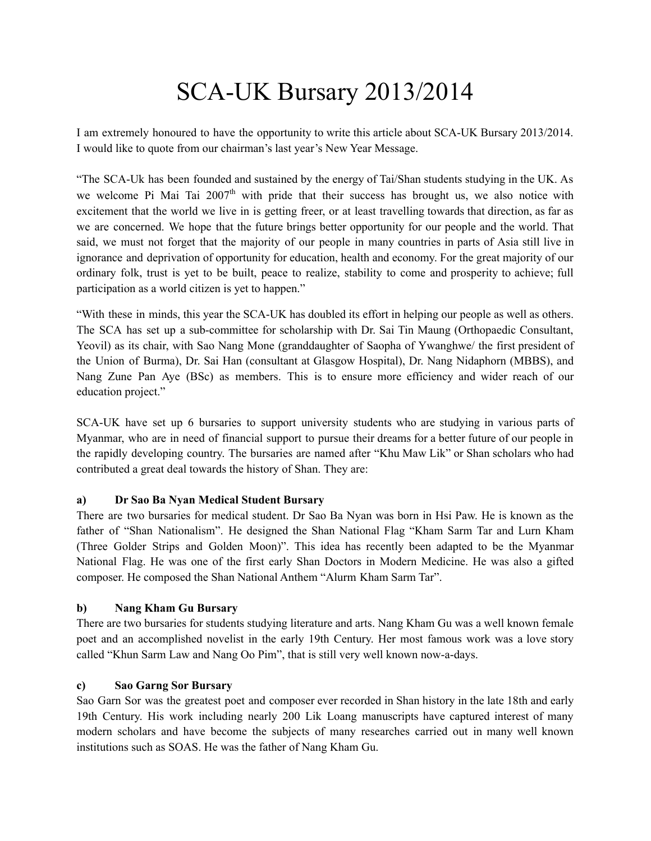# SCA-UK Bursary 2013/2014

I am extremely honoured to have the opportunity to write this article about SCA-UK Bursary 2013/2014. I would like to quote from our chairman's last year's New Year Message.

"The SCA-Uk has been founded and sustained by the energy of Tai/Shan students studying in the UK. As we welcome Pi Mai Tai 2007<sup>th</sup> with pride that their success has brought us, we also notice with excitement that the world we live in is getting freer, or at least travelling towards that direction, as far as we are concerned. We hope that the future brings better opportunity for our people and the world. That said, we must not forget that the majority of our people in many countries in parts of Asia still live in ignorance and deprivation of opportunity for education, health and economy. For the great majority of our ordinary folk, trust is yet to be built, peace to realize, stability to come and prosperity to achieve; full participation as a world citizen is yet to happen."

"With these in minds, this year the SCA-UK has doubled its effort in helping our people as well as others. The SCA has set up a sub-committee for scholarship with Dr. Sai Tin Maung (Orthopaedic Consultant, Yeovil) as its chair, with Sao Nang Mone (granddaughter of Saopha of Ywanghwe/ the first president of the Union of Burma), Dr. Sai Han (consultant at Glasgow Hospital), Dr. Nang Nidaphorn (MBBS), and Nang Zune Pan Aye (BSc) as members. This is to ensure more efficiency and wider reach of our education project."

SCA-UK have set up 6 bursaries to support university students who are studying in various parts of Myanmar, who are in need of financial support to pursue their dreams for a better future of our people in the rapidly developing country. The bursaries are named after "Khu Maw Lik" or Shan scholars who had contributed a great deal towards the history of Shan. They are:

## **a) Dr Sao Ba Nyan Medical Student Bursary**

There are two bursaries for medical student. Dr Sao Ba Nyan was born in Hsi Paw. He is known as the father of "Shan Nationalism". He designed the Shan National Flag "Kham Sarm Tar and Lurn Kham (Three Golder Strips and Golden Moon)". This idea has recently been adapted to be the Myanmar National Flag. He was one of the first early Shan Doctors in Modern Medicine. He was also a gifted composer. He composed the Shan National Anthem "Alurm Kham Sarm Tar".

## **b) Nang Kham Gu Bursary**

There are two bursaries for students studying literature and arts. Nang Kham Gu was a well known female poet and an accomplished novelist in the early 19th Century. Her most famous work was a love story called "Khun Sarm Law and Nang Oo Pim", that is still very well known now-a-days.

## **c) Sao Garng Sor Bursary**

Sao Garn Sor was the greatest poet and composer ever recorded in Shan history in the late 18th and early 19th Century. His work including nearly 200 Lik Loang manuscripts have captured interest of many modern scholars and have become the subjects of many researches carried out in many well known institutions such as SOAS. He was the father of Nang Kham Gu.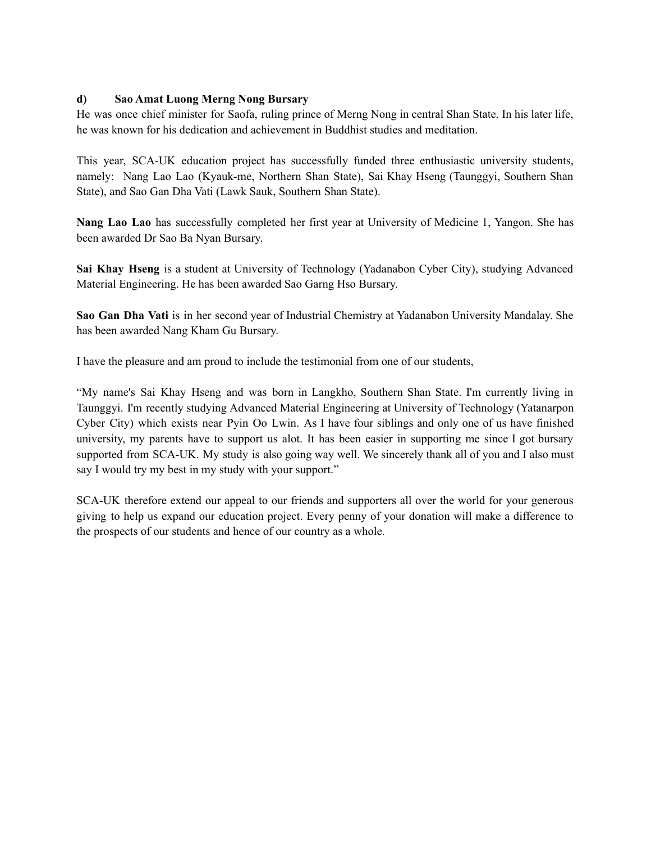## **d) Sao Amat Luong Merng Nong Bursary**

He was once chief minister for Saofa, ruling prince of Merng Nong in central Shan State. In his later life, he was known for his dedication and achievement in Buddhist studies and meditation.

This year, SCA-UK education project has successfully funded three enthusiastic university students, namely: Nang Lao Lao (Kyauk-me, Northern Shan State), Sai Khay Hseng (Taunggyi, Southern Shan State), and Sao Gan Dha Vati (Lawk Sauk, Southern Shan State).

**Nang Lao Lao** has successfully completed her first year at University of Medicine 1, Yangon. She has been awarded Dr Sao Ba Nyan Bursary.

**Sai Khay Hseng** is a student at University of Technology (Yadanabon Cyber City), studying Advanced Material Engineering. He has been awarded Sao Garng Hso Bursary.

**Sao Gan Dha Vati** is in her second year of Industrial Chemistry at Yadanabon University Mandalay. She has been awarded Nang Kham Gu Bursary.

I have the pleasure and am proud to include the testimonial from one of our students,

"My name's Sai Khay Hseng and was born in Langkho, Southern Shan State. I'm currently living in Taunggyi. I'm recently studying Advanced Material Engineering at University of Technology (Yatanarpon Cyber City) which exists near Pyin Oo Lwin. As I have four siblings and only one of us have finished university, my parents have to support us alot. It has been easier in supporting me since I got bursary supported from SCA-UK. My study is also going way well. We sincerely thank all of you and I also must say I would try my best in my study with your support."

SCA-UK therefore extend our appeal to our friends and supporters all over the world for your generous giving to help us expand our education project. Every penny of your donation will make a difference to the prospects of our students and hence of our country as a whole.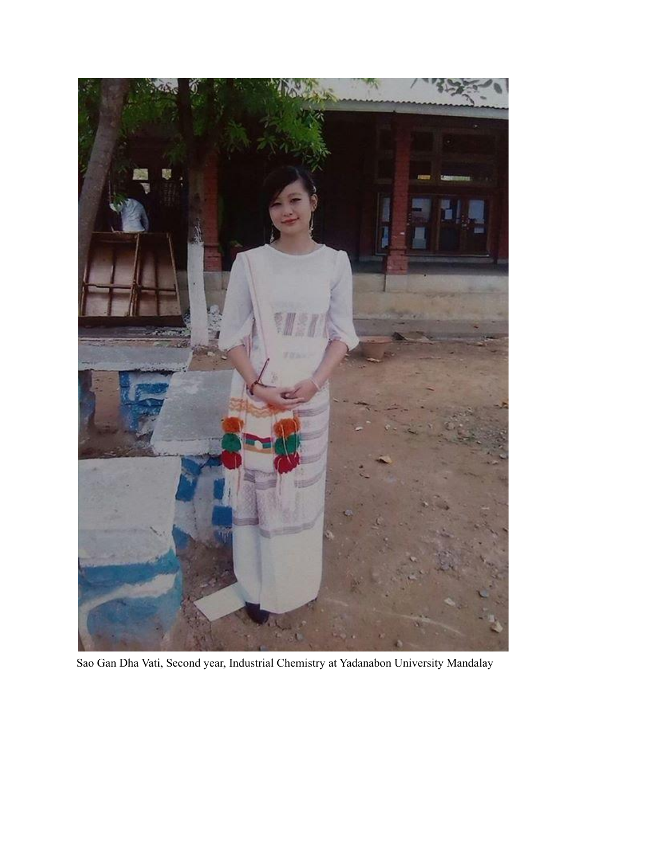

Sao Gan Dha Vati, Second year, Industrial Chemistry at Yadanabon University Mandalay